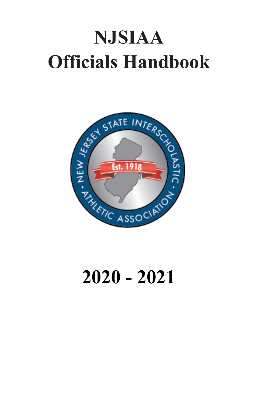# **NJSIAA Officials Handbook**



# **2020 - 2021**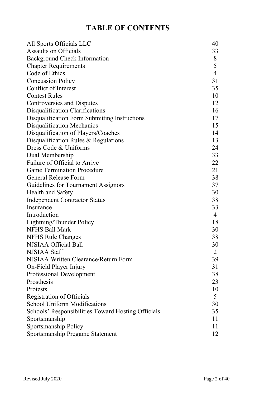# **TABLE OF CONTENTS**

| All Sports Officials LLC                           | 40             |
|----------------------------------------------------|----------------|
| <b>Assaults on Officials</b>                       | 33             |
| Background Check Information                       | 8              |
| <b>Chapter Requirements</b>                        | 5              |
| Code of Ethics                                     | 4              |
| <b>Concussion Policy</b>                           | 31             |
| Conflict of Interest                               | 35             |
| <b>Contest Rules</b>                               | 10             |
| Controversies and Disputes                         | 12             |
| Disqualification Clarifications                    | 16             |
| Disqualification Form Submitting Instructions      | 17             |
| Disqualification Mechanics                         | 15             |
| Disqualification of Players/Coaches                | 14             |
| Disqualification Rules & Regulations               | 13             |
| Dress Code & Uniforms                              | 24             |
| Dual Membership                                    | 33             |
| Failure of Official to Arrive                      | 22             |
| <b>Game Termination Procedure</b>                  | 21             |
| General Release Form                               | 38             |
| Guidelines for Tournament Assignors                | 37             |
| Health and Safety                                  | 30             |
| <b>Independent Contractor Status</b>               | 38             |
| Insurance                                          | 33             |
| Introduction                                       | 4              |
| Lightning/Thunder Policy                           | 18             |
| <b>NFHS Ball Mark</b>                              | 30             |
| NFHS Rule Changes                                  | 38             |
| NJSIAA Official Ball                               | 30             |
| NJSIAA Staff                                       | $\overline{2}$ |
| NJSIAA Written Clearance/Return Form               | 39             |
| On-Field Player Injury                             | 31             |
| Professional Development                           | 38             |
| Prosthesis                                         | 23             |
| Protests                                           | 10             |
| Registration of Officials                          | 5              |
| School Uniform Modifications                       | 30             |
| Schools' Responsibilities Toward Hosting Officials | 35             |
| Sportsmanship                                      | 11             |
| Sportsmanship Policy                               | 11             |
| Sportsmanship Pregame Statement                    | 12             |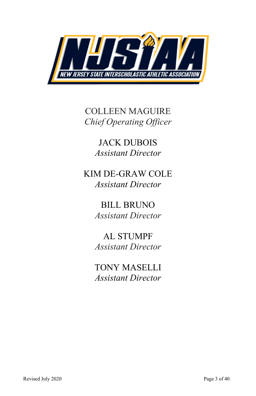

COLLEEN MAGUIRE *Chief Operating Officer* 

> JACK DUBOIS *Assistant Director*

KIM DE-GRAW COLE *Assistant Director*

> BILL BRUNO *Assistant Director*

> AL STUMPF *Assistant Director*

> TONY MASELLI *Assistant Director*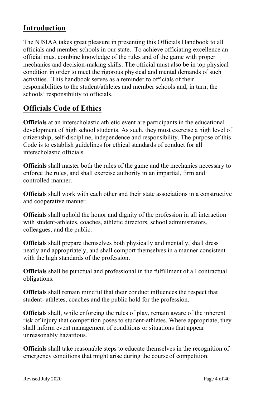# **Introduction**

The NJSIAA takes great pleasure in presenting this Officials Handbook to all officials and member schools in our state. To achieve officiating excellence an official must combine knowledge of the rules and of the game with proper mechanics and decision-making skills. The official must also be in top physical condition in order to meet the rigorous physical and mental demands of such activities. This handbook serves as a reminder to officials of their responsibilities to the student/athletes and member schools and, in turn, the schools' responsibility to officials.

# **Officials Code of Ethics**

**Officials** at an interscholastic athletic event are participants in the educational development of high school students. As such, they must exercise a high level of citizenship, self-discipline, independence and responsibility. The purpose of this Code is to establish guidelines for ethical standards of conduct for all interscholastic officials.

**Officials** shall master both the rules of the game and the mechanics necessary to enforce the rules, and shall exercise authority in an impartial, firm and controlled manner.

**Officials** shall work with each other and their state associations in a constructive and cooperative manner.

**Officials** shall uphold the honor and dignity of the profession in all interaction with student-athletes, coaches, athletic directors, school administrators, colleagues, and the public.

**Officials** shall prepare themselves both physically and mentally, shall dress neatly and appropriately, and shall comport themselves in a manner consistent with the high standards of the profession.

**Officials** shall be punctual and professional in the fulfillment of all contractual obligations.

**Officials** shall remain mindful that their conduct influences the respect that student- athletes, coaches and the public hold for the profession.

**Officials** shall, while enforcing the rules of play, remain aware of the inherent risk of injury that competition poses to student-athletes. Where appropriate, they shall inform event management of conditions or situations that appear unreasonably hazardous.

**Officials** shall take reasonable steps to educate themselves in the recognition of emergency conditions that might arise during the courseof competition.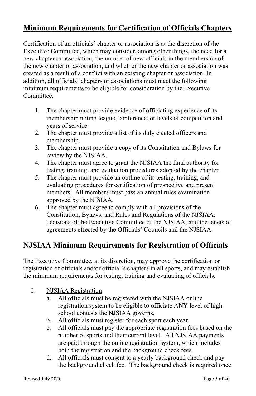# **Minimum Requirements for Certification of Officials Chapters**

Certification of an officials' chapter or association is at the discretion of the Executive Committee, which may consider, among other things, the need for a new chapter or association, the number of new officials in the membership of the new chapter or association, and whether the new chapter or association was created as a result of a conflict with an existing chapter or association. In addition, all officials' chapters or associations must meet the following minimum requirements to be eligible for consideration by the Executive Committee.

- 1. The chapter must provide evidence of officiating experience of its membership noting league, conference, or levels of competition and years of service.
- 2. The chapter must provide a list of its duly elected officers and membership.
- 3. The chapter must provide a copy of its Constitution and Bylaws for review by the NJSIAA.
- 4. The chapter must agree to grant the NJSIAA the final authority for testing, training, and evaluation procedures adopted by the chapter.
- 5. The chapter must provide an outline of its testing, training, and evaluating procedures for certification of prospective and present members. All members must pass an annual rules examination approved by the NJSIAA.
- 6. The chapter must agree to comply with all provisions of the Constitution, Bylaws, and Rules and Regulations of the NJSIAA; decisions of the Executive Committee of the NJSIAA; and the tenets of agreements effected by the Officials' Councils and the NJSIAA.

# **NJSIAA Minimum Requirements for Registration of Officials**

The Executive Committee, at its discretion, may approve the certification or registration of officials and/or official's chapters in all sports, and may establish the minimum requirements for testing, training and evaluating of officials.

- I. NJSIAA Registration
	- a. All officials must be registered with the NJSIAA online registration system to be eligible to officiate ANY level of high school contests the NJSIAA governs.
	- b. All officials must register for each sport each year.
	- c. All officials must pay the appropriate registration fees based on the number of sports and their current level. All NJSIAA payments are paid through the online registration system, which includes both the registration and the background check fees.
	- d. All officials must consent to a yearly background check and pay the background check fee. The background check is required once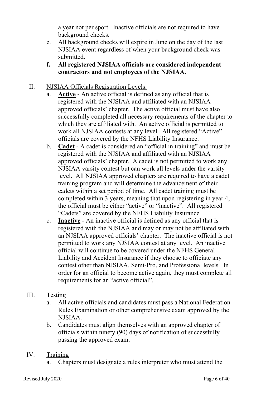a year not per sport. Inactive officials are not required to have background checks.

- e. All background checks will expire in June on the day of the last NJSIAA event regardless of when your background check was submitted.
- **f. All registered NJSIAA officials are considered independent contractors and not employees of the NJSIAA.**
- II. NJSIAA Officials Registration Levels:
	- a. **Active** An active official is defined as any official that is registered with the NJSIAA and affiliated with an NJSIAA approved officials' chapter. The active official must have also successfully completed all necessary requirements of the chapter to which they are affiliated with. An active official is permitted to work all NJSIAA contests at any level. All registered "Active" officials are covered by the NFHS Liability Insurance.
	- b. **Cadet** A cadet is considered an "official in training" and must be registered with the NJSIAA and affiliated with an NJSIAA approved officials' chapter. A cadet is not permitted to work any NJSIAA varsity contest but can work all levels under the varsity level. All NJSIAA approved chapters are required to have a cadet training program and will determine the advancement of their cadets within a set period of time. All cadet training must be completed within 3 years, meaning that upon registering in year 4, the official must be either "active" or "inactive". All registered "Cadets" are covered by the NFHS Liability Insurance.
	- c. **Inactive** An inactive official is defined as any official that is registered with the NJSIAA and may or may not be affiliated with an NJSIAA approved officials' chapter. The inactive official is not permitted to work any NJSIAA contest at any level. An inactive official will continue to be covered under the NFHS General Liability and Accident Insurance if they choose to officiate any contest other than NJSIAA, Semi-Pro, and Professional levels. In order for an official to become active again, they must complete all requirements for an "active official".
- III. Testing
	- a. All active officials and candidates must pass a National Federation Rules Examination or other comprehensive exam approved by the NJSIAA.
	- b. Candidates must align themselves with an approved chapter of officials within ninety (90) days of notification of successfully passing the approved exam.
- IV. Training
	- a. Chapters must designate a rules interpreter who must attend the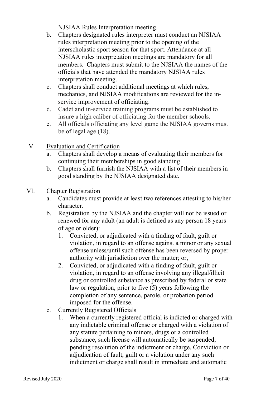NJSIAA Rules Interpretation meeting.

- b. Chapters designated rules interpreter must conduct an NJSIAA rules interpretation meeting prior to the opening of the interscholastic sport season for that sport. Attendance at all NJSIAA rules interpretation meetings are mandatory for all members. Chapters must submit to the NJSIAA the names of the officials that have attended the mandatory NJSIAA rules interpretation meeting.
- c. Chapters shall conduct additional meetings at which rules, mechanics, and NJSIAA modifications are reviewed for the inservice improvement of officiating.
- d. Cadet and in-service training programs must be established to insure a high caliber of officiating for the member schools.
- e. All officials officiating any level game the NJSIAA governs must be of legal age (18).
- V. Evaluation and Certification
	- a. Chapters shall develop a means of evaluating their members for continuing their memberships in good standing
	- b. Chapters shall furnish the NJSIAA with a list of their members in good standing by the NJSIAA designated date.
- VI. Chapter Registration
	- a. Candidates must provide at least two references attesting to his/her character.
	- b. Registration by the NJSIAA and the chapter will not be issued or renewed for any adult (an adult is defined as any person 18 years of age or older):
		- 1. Convicted, or adjudicated with a finding of fault, guilt or violation, in regard to an offense against a minor or any sexual offense unless/until such offense has been reversed by proper authority with jurisdiction over the matter; or,
		- 2. Convicted, or adjudicated with a finding of fault, guilt or violation, in regard to an offense involving any illegal/illicit drug or controlled substance as prescribed by federal or state law or regulation, prior to five (5) years following the completion of any sentence, parole, or probation period imposed for the offense.
	- c. Currently Registered Officials
		- 1. When a currently registered official is indicted or charged with any indictable criminal offense or charged with a violation of any statute pertaining to minors, drugs or a controlled substance, such license will automatically be suspended, pending resolution of the indictment or charge. Conviction or adjudication of fault, guilt or a violation under any such indictment or charge shall result in immediate and automatic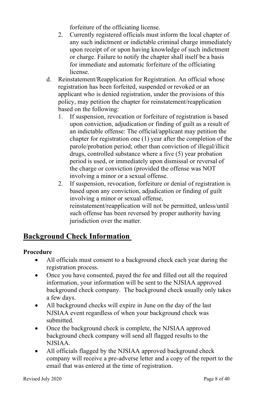forfeiture of the officiating license.

- 2. Currently registered officials must inform the local chapter of any such indictment or indictable criminal charge immediately upon receipt of or upon having knowledge of such indictment or charge. Failure to notify the chapter shall itself be a basis for immediate and automatic forfeiture of the officiating license.
- d. Reinstatement/Reapplication for Registration. An official whose registration has been forfeited, suspended or revoked or an applicant who is denied registration, under the provisions of this policy, may petition the chapter for reinstatement/reapplication based on the following:
	- 1. If suspension, revocation or forfeiture of registration is based upon conviction, adjudication or finding of guilt as a result of an indictable offense: The official/applicant may petition the chapter for registration one (1) year after the completion of the parole/probation period; other than conviction of illegal/illicit drugs, controlled substance where a five (5) year probation period is used, or immediately upon dismissal or reversal of the charge or conviction (provided the offense was NOT involving a minor or a sexual offense.
	- 2. If suspension, revocation, forfeiture or denial of registration is based upon any conviction, adjudication or finding of guilt involving a minor or sexual offense, reinstatement/reapplication will not be permitted, unless/until such offense has been reversed by proper authority having jurisdiction over the matter.

# **Background Check Information**

#### **Procedure**

- All officials must consent to a background check each year during the registration process.
- Once you have consented, payed the fee and filled out all the required information, your information will be sent to the NJSIAA approved background check company. The background check usually only takes a few days.
- All background checks will expire in June on the day of the last NJSIAA event regardless of when your background check was submitted.
- Once the background check is complete, the NJSIAA approved background check company will send all flagged results to the NJSIAA.
- All officials flagged by the NJSIAA approved background check company will receive a pre-adverse letter and a copy of the report to the email that was entered at the time of registration.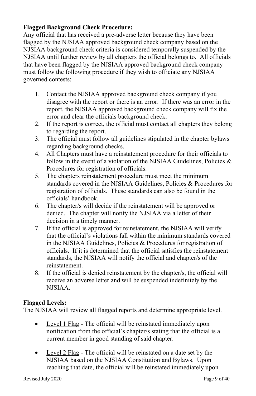## **Flagged Background Check Procedure:**

Any official that has received a pre-adverse letter because they have been flagged by the NJSIAA approved background check company based on the NJSIAA background check criteria is considered temporally suspended by the NJSIAA until further review by all chapters the official belongs to. All officials that have been flagged by the NJSIAA approved background check company must follow the following procedure if they wish to officiate any NJSIAA governed contests:

- 1. Contact the NJSIAA approved background check company if you disagree with the report or there is an error. If there was an error in the report, the NJSIAA approved background check company will fix the error and clear the officials background check.
- 2. If the report is correct, the official must contact all chapters they belong to regarding the report.
- 3. The official must follow all guidelines stipulated in the chapter bylaws regarding background checks.
- 4. All Chapters must have a reinstatement procedure for their officials to follow in the event of a violation of the NJSIAA Guidelines, Policies  $\&$ Procedures for registration of officials.
- 5. The chapters reinstatement procedure must meet the minimum standards covered in the NJSIAA Guidelines, Policies & Procedures for registration of officials. These standards can also be found in the officials' handbook.
- 6. The chapter/s will decide if the reinstatement will be approved or denied. The chapter will notify the NJSIAA via a letter of their decision in a timely manner.
- 7. If the official is approved for reinstatement, the NJSIAA will verify that the official's violations fall within the minimum standards covered in the NJSIAA Guidelines, Policies & Procedures for registration of officials. If it is determined that the official satisfies the reinstatement standards, the NJSIAA will notify the official and chapter/s of the reinstatement.
- 8. If the official is denied reinstatement by the chapter/s, the official will receive an adverse letter and will be suspended indefinitely by the NJSIAA.

## **Flagged Levels:**

The NJSIAA will review all flagged reports and determine appropriate level.

- Level 1 Flag The official will be reinstated immediately upon notification from the official's chapter/s stating that the official is a current member in good standing of said chapter.
- Level 2 Flag The official will be reinstated on a date set by the NJSIAA based on the NJSIAA Constitution and Bylaws. Upon reaching that date, the official will be reinstated immediately upon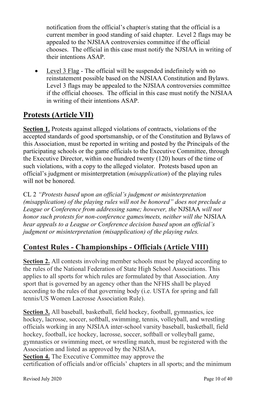notification from the official's chapter/s stating that the official is a current member in good standing of said chapter. Level 2 flags may be appealed to the NJSIAA controversies committee if the official chooses. The official in this case must notify the NJSIAA in writing of their intentions ASAP.

• Level 3 Flag - The official will be suspended indefinitely with no reinstatement possible based on the NJSIAA Constitution and Bylaws. Level 3 flags may be appealed to the NJSIAA controversies committee if the official chooses. The official in this case must notify the NJSIAA in writing of their intentions ASAP.

# **Protests (Article VII)**

**Section 1.** Protests against alleged violations of contracts, violations of the accepted standards of good sportsmanship, or of the Constitution and Bylaws of this Association, must be reported in writing and posted by the Principals of the participating schools or the game officials to the Executive Committee, through the Executive Director, within one hundred twenty (120) hours of the time of such violations, with a copy to the alleged violator. Protests based upon an official's judgment or misinterpretation (*misapplication*) of the playing rules will not be honored.

CL 2 *"Protests based upon an official's judgment or misinterpretation (misapplication) of the playing rules will not be honored" does not preclude a League or Conference from addressing same; however, the* NJSIAA *will not honor such protests for non-conference games/meets, neither will the* NJSIAA *hear appeals to a League or Conference decision based upon an official's judgment or misinterpretation (misapplication) of the playing rules.*

# **Contest Rules - Championships - Officials (Article VIII)**

**Section 2.** All contests involving member schools must be played according to the rules of the National Federation of State High School Associations. This applies to all sports for which rules are formulated by that Association. Any sport that is governed by an agency other than the NFHS shall be played according to the rules of that governing body (i.e. USTA for spring and fall tennis/US Women Lacrosse Association Rule).

**Section 3.** All baseball, basketball, field hockey, football, gymnastics, ice hockey, lacrosse, soccer, softball, swimming, tennis, volleyball, and wrestling officials working in any NJSIAA inter-school varsity baseball, basketball, field hockey, football, ice hockey, lacrosse, soccer, softball or volleyball game, gymnastics or swimming meet, or wrestling match, must be registered with the Association and listed as approved by the NJSIAA.

**Section 4.** The Executive Committee may approve the certification of officials and/or officials' chapters in all sports; and the minimum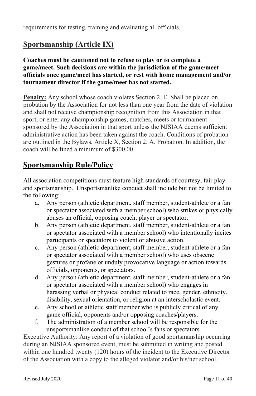requirements for testing, training and evaluating all officials.

# **Sportsmanship (Article IX)**

**Coaches must be cautioned not to refuse to play or to complete a game/meet. Such decisions are within the jurisdiction of the game/meet officials once game/meet has started, or rest with home management and/or tournament director if the game/meet has not started.**

**Penalty:** Any school whose coach violates Section 2. E. Shall be placed on probation by the Association for not less than one year from the date of violation and shall not receive championship recognition from this Association in that sport, or enter any championship games, matches, meets or tournament sponsored by the Association in that sport unless the NJSIAA deems sufficient administrative action has been taken against the coach. Conditions of probation are outlined in the Bylaws, Article X, Section 2. A. Probation. In addition, the coach will be fined a minimum of \$300.00.

# **Sportsmanship Rule/Policy**

All association competitions must feature high standards of courtesy, fair play and sportsmanship. Unsportsmanlike conduct shall include but not be limited to the following:

- a. Any person (athletic department, staff member, student-athlete or a fan or spectator associated with a member school) who strikes or physically abuses an official, opposing coach, player or spectator.
- b. Any person (athletic department, staff member, student-athlete or a fan or spectator associated with a member school) who intentionally incites participants or spectators to violent or abusive action.
- c. Any person (athletic department, staff member, student-athlete or a fan or spectator associated with a member school) who uses obscene gestures or profane or unduly provocative language or action towards officials, opponents, or spectators.
- d. Any person (athletic department, staff member, student-athlete or a fan or spectator associated with a member school) who engages in harassing verbal or physical conduct related to race, gender, ethnicity, disability, sexual orientation, or religion at an interscholastic event.
- e. Any school or athletic staff member who is publicly critical of any game official, opponents and/or opposing coaches/players.
- f. The administration of a member school will be responsible for the unsportsmanlike conduct of that school's fans or spectators.

Executive Authority: Any report of a violation of good sportsmanship occurring during an NJSIAA sponsored event, must be submitted in writing and posted within one hundred twenty (120) hours of the incident to the Executive Director of the Association with a copy to the alleged violator and/or his/her school.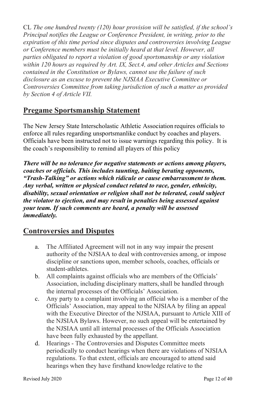CL *The one hundred twenty (120) hour provision will be satisfied, if the school's Principal notifies the League or Conference President, in writing, prior to the expiration of this time period since disputes and controversies involving League or Conference members must be initially heard at that level. However, all parties obligated to report a violation of good sportsmanship or any violation within 120 hours as required by Art. IX, Sect.4, and other Articles and Sections contained in the Constitution or Bylaws, cannot use the failure of such disclosure as an excuse to prevent the NJSIAA Executive Committee or Controversies Committee from taking jurisdiction of such a matter as provided by Section 4 of Article VII.*

## **Pregame Sportsmanship Statement**

The New Jersey State Interscholastic Athletic Association requires officials to enforce all rules regarding unsportsmanlike conduct by coaches and players. Officials have been instructed not to issue warnings regarding this policy. It is the coach's responsibility to remind all players of this policy

*There will be no tolerance for negative statements or actions among players, coaches or officials. This includes taunting, baiting berating opponents, "Trash-Talking" or actions which ridicule or cause embarrassment to them. Any verbal, written or physical conduct related to race, gender, ethnicity, disability, sexual orientation or religion shall not be tolerated, could subject the violator to ejection, and may result in penalties being assessed against your team. If such comments are heard, a penalty will be assessed immediately.*

# **Controversies and Disputes**

- a. The Affiliated Agreement will not in any way impair the present authority of the NJSIAA to deal with controversies among, or impose discipline or sanctions upon, member schools, coaches, officials or student-athletes.
- b. All complaints against officials who are members of the Officials' Association, including disciplinary matters, shall be handled through the internal processes of the Officials' Association.
- c. Any party to a complaint involving an official who is a member of the Officials' Association, may appeal to the NJSIAA by filing an appeal with the Executive Director of the NJSIAA, pursuant to Article XIII of the NJSIAA Bylaws. However, no such appeal will be entertained by the NJSIAA until all internal processes of the Officials Association have been fully exhausted by the appellant.
- d. Hearings The Controversies and Disputes Committee meets periodically to conduct hearings when there are violations of NJSIAA regulations. To that extent, officials are encouraged to attend said hearings when they have firsthand knowledge relative to the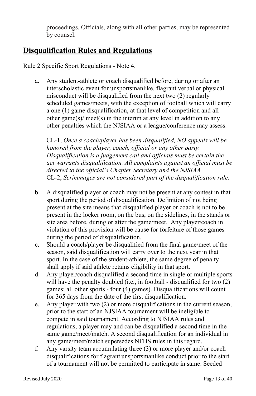proceedings. Officials, along with all other parties, may be represented by counsel.

# **Disqualification Rules and Regulations**

Rule 2 Specific Sport Regulations - Note 4.

a. Any student-athlete or coach disqualified before, during or after an interscholastic event for unsportsmanlike, flagrant verbal or physical misconduct will be disqualified from the next two (2) regularly scheduled games/meets, with the exception of football which will carry a one (1) game disqualification, at that level of competition and all other game(s)/ meet(s) in the interim at any level in addition to any other penalties which the NJSIAA or a league/conference may assess.

CL-1, *Once a coach/player has been disqualified, NO appeals will be honored from the player, coach, official or any other party. Disqualification is a judgement call and officials must be certain the act warrants disqualification. All complaints against an official must be directed to the official's Chapter Secretary and the NJSIAA.* CL-2, *Scrimmages are not considered part of the disqualification rule.*

- b. A disqualified player or coach may not be present at any contest in that sport during the period of disqualification. Definition of not being present at the site means that disqualified player or coach is not to be present in the locker room, on the bus, on the sidelines, in the stands or site area before, during or after the game/meet. Any player/coach in violation of this provision will be cause for forfeiture of those games during the period of disqualification.
- c. Should a coach/player be disqualified from the final game/meet of the season, said disqualification will carry over to the next year in that sport. In the case of the student-athlete, the same degree of penalty shall apply if said athlete retains eligibility in that sport.
- d. Any player/coach disqualified a second time in single or multiple sports will have the penalty doubled (i.e., in football - disqualified for two (2) games; all other sports - four (4) games). Disqualifications will count for 365 days from the date of the first disqualification.
- e. Any player with two (2) or more disqualifications in the current season, prior to the start of an NJSIAA tournament will be ineligible to compete in said tournament. According to NJSIAA rules and regulations, a player may and can be disqualified a second time in the same game/meet/match. A second disqualification for an individual in any game/meet/match supersedes NFHS rules in this regard.
- f. Any varsity team accumulating three (3) or more player and/or coach disqualifications for flagrant unsportsmanlike conduct prior to the start of a tournament will not be permitted to participate in same. Seeded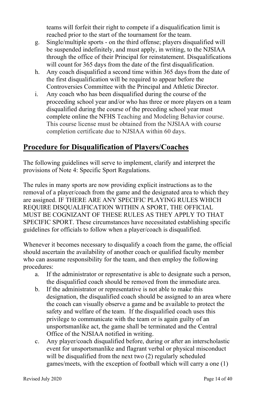teams will forfeit their right to compete if a disqualification limit is reached prior to the start of the tournament for the team.

- g. Single/multiple sports on the third offense; players disqualified will be suspended indefinitely, and must apply, in writing, to the NJSIAA through the office of their Principal for reinstatement. Disqualifications will count for 365 days from the date of the first disqualification.
- h. Any coach disqualified a second time within 365 days from the date of the first disqualification will be required to appear before the Controversies Committee with the Principal and Athletic Director.
- i. Any coach who has been disqualified during the course of the proceeding school year and/or who has three or more players on a team disqualified during the course of the preceding school year must complete online the NFHS Teaching and Modeling Behavior course. This course license must be obtained from the NJSIAA with course completion certificate due to NJSIAA within 60 days.

# **Procedure for Disqualification of Players/Coaches**

The following guidelines will serve to implement, clarify and interpret the provisions of Note 4: Specific Sport Regulations.

The rules in many sports are now providing explicit instructions as to the removal of a player/coach from the game and the designated area to which they are assigned. IF THERE ARE ANY SPECIFIC PLAYING RULES WHICH REQUIRE DISQUALIFICATION WITHIN A SPORT, THE OFFICIAL MUST BE COGNIZANT OF THESE RULES AS THEY APPLY TO THAT SPECIFIC SPORT. These circumstances have necessitated establishing specific guidelines for officials to follow when a player/coach is disqualified.

Whenever it becomes necessary to disqualify a coach from the game, the official should ascertain the availability of another coach or qualified faculty member who can assume responsibility for the team, and then employ the following procedures:

- a. If the administrator or representative is able to designate such a person, the disqualified coach should be removed from the immediate area.
- b. If the administrator or representative is not able to make this designation, the disqualified coach should be assigned to an area where the coach can visually observe a game and be available to protect the safety and welfare of the team. If the disqualified coach uses this privilege to communicate with the team or is again guilty of an unsportsmanlike act, the game shall be terminated and the Central Office of the NJSIAA notified in writing.
- c. Any player/coach disqualified before, during or after an interscholastic event for unsportsmanlike and flagrant verbal or physical misconduct will be disqualified from the next two (2) regularly scheduled games/meets, with the exception of football which will carry a one (1)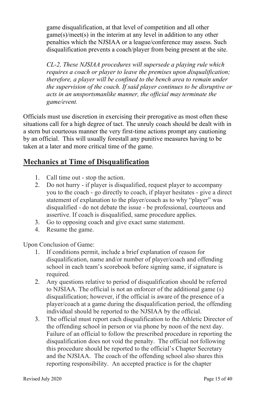game disqualification, at that level of competition and all other game(s)/meet(s) in the interim at any level in addition to any other penalties which the NJSIAA or a league/conference may assess. Such disqualification prevents a coach/player from being present at the site.

*CL-2, These NJSIAA procedures will supersede a playing rule which requires a coach or player to leave the premises upon disqualification; therefore, a player will be confined to the bench area to remain under the supervision of the coach. If said player continues to be disruptive or acts in an unsportsmanlike manner, the official may terminate the game/event.*

Officials must use discretion in exercising their prerogative as most often these situations call for a high degree of tact. The unruly coach should be dealt with in a stern but courteous manner the very first-time actions prompt any cautioning by an official. This will usually forestall any punitive measures having to be taken at a later and more critical time of the game.

# **Mechanics at Time of Disqualification**

- 1. Call time out stop the action.
- 2. Do not hurry if player is disqualified, request player to accompany you to the coach - go directly to coach, if player hesitates - give a direct statement of explanation to the player/coach as to why "player" was disqualified - do not debate the issue - be professional, courteous and assertive. If coach is disqualified, same procedure applies.
- 3. Go to opposing coach and give exact same statement.
- 4. Resume the game.

Upon Conclusion of Game:

- 1. If conditions permit, include a brief explanation of reason for disqualification, name and/or number of player/coach and offending school in each team's scorebook before signing same, if signature is required.
- 2. Any questions relative to period of disqualification should be referred to NJSIAA. The official is not an enforcer of the additional game (s) disqualification; however, if the official is aware of the presence of a player/coach at a game during the disqualification period, the offending individual should be reported to the NJSIAA by the official.
- 3. The official must report each disqualification to the Athletic Director of the offending school in person or via phone by noon of the next day. Failure of an official to follow the prescribed procedure in reporting the disqualification does not void the penalty. The official not following this procedure should be reported to the official's Chapter Secretary and the NJSIAA. The coach of the offending school also shares this reporting responsibility. An accepted practice is for the chapter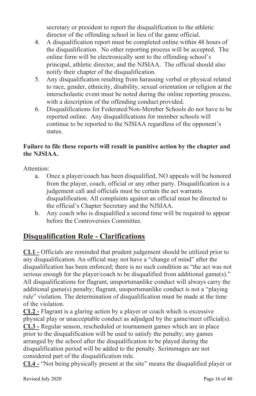secretary or president to report the disqualification to the athletic director of the offending school in lieu of the game official.

- 4. A disqualification report must be completed online within 48 hours of the disqualification. No other reporting process will be accepted. The online form will be electronically sent to the offending school's principal, athletic director, and the NJSIAA. The official should also notify their chapter of the disqualification.
- 5. Any disqualification resulting from harassing verbal or physical related to race, gender, ethnicity, disability, sexual orientation or religion at the interscholastic event must be noted during the online reporting process, with a description of the offending conduct provided.
- 6. Disqualifications for Federated/Non-Member Schools do not have to be reported online. Any disqualifications for member schools will continue to be reported to the NJSIAA regardless of the opponent's status.

## **Failure to file these reports will result in punitive action by the chapter and the NJSIAA.**

Attention:

- a. Once a player/coach has been disqualified, NO appeals will be honored from the player, coach, official or any other party. Disqualification is a judgement call and officials must be certain the act warrants disqualification. All complaints against an official must be directed to the official's Chapter Secretary and the NJSIAA.
- b. Any coach who is disqualified a second time will be required to appear before the Controversies Committee.

# **Disqualification Rule - Clarifications**

**CL1 -** Officials are reminded that prudent judgement should be utilized prior to any disqualification. An official may not have a "change of mind" after the disqualification has been enforced; there is no such condition as "the act was not serious enough for the player/coach to be disqualified from additional game(s)." All disqualifications for flagrant, unsportsmanlike conduct will always carry the additional game(s) penalty; flagrant, unsportsmanlike conduct is not a "playing rule" violation. The determination of disqualification must be made at the time of the violation.

**CL2 -** Flagrant is a glaring action by a player or coach which is excessive physical play or unacceptable conduct as adjudged by the game/meet official(s). **CL3 -** Regular season, rescheduled or tournament games which are in place prior to the disqualification will be used to satisfy the penalty; any games arranged by the school after the disqualification to be played during the disqualification period will be added to the penalty. Scrimmages are not considered part of the disqualification rule.

**CL4 -** "Not being physically present at the site" means the disqualified player or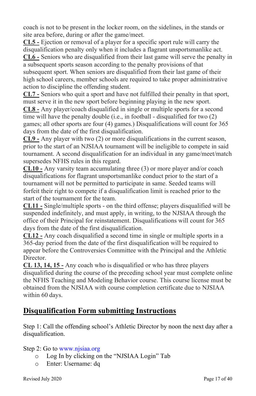coach is not to be present in the locker room, on the sidelines, in the stands or site area before, during or after the game/meet.

**CL5 -** Ejection or removal of a player for a specific sport rule will carry the disqualification penalty only when it includes a flagrant unsportsmanlike act. **CL6 -** Seniors who are disqualified from their last game will serve the penalty in a subsequent sports season according to the penalty provisions of that subsequent sport. When seniors are disqualified from their last game of their high school careers, member schools are required to take proper administrative action to discipline the offending student.

**CL7 -** Seniors who quit a sport and have not fulfilled their penalty in that sport, must serve it in the new sport before beginning playing in the new sport.

**CL8 -** Any player/coach disqualified in single or multiple sports for a second time will have the penalty double (i.e., in football - disqualified for two (2) games; all other sports are four (4) games.) Disqualifications will count for 365 days from the date of the first disqualification.

**CL9 -** Any player with two (2) or more disqualifications in the current season, prior to the start of an NJSIAA tournament will be ineligible to compete in said tournament. A second disqualification for an individual in any game/meet/match supersedes NFHS rules in this regard.

**CL10 -** Any varsity team accumulating three (3) or more player and/or coach disqualifications for flagrant unsportsmanlike conduct prior to the start of a tournament will not be permitted to participate in same. Seeded teams will forfeit their right to compete if a disqualification limit is reached prior to the start of the tournament for the team.

**CL11 -** Single/multiple sports - on the third offense; players disqualified will be suspended indefinitely, and must apply, in writing, to the NJSIAA through the office of their Principal for reinstatement. Disqualifications will count for 365 days from the date of the first disqualification.

**CL12 -** Any coach disqualified a second time in single or multiple sports in a 365-day period from the date of the first disqualification will be required to appear before the Controversies Committee with the Principal and the Athletic Director.

**CL 13, 14, 15 -** Any coach who is disqualified or who has three players disqualified during the course of the preceding school year must complete online the NFHS Teaching and Modeling Behavior course. This course license must be obtained from the NJSIAA with course completion certificate due to NJSIAA within 60 days.

# **Disqualification Form submitting Instructions**

Step 1: Call the offending school's Athletic Director by noon the next day after a disqualification.

## Step 2: Go t[o www.njsiaa.org](http://www.njsiaa.org/)

- o Log In by clicking on the "NJSIAA Login" Tab
- o Enter: Username: dq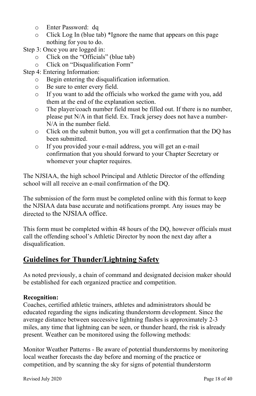- o Enter Password: dq
- o Click Log In (blue tab) \*Ignore the name that appears on this page nothing for you to do.
- Step 3: Once you are logged in:
	- o Click on the "Officials" (blue tab)
	- o Click on "Disqualification Form"
- Step 4: Entering Information:
	- $\circ$  Begin entering the disqualification information.<br>  $\circ$  Be sure to enter every field.
	- $\circ$  Be sure to enter every field.<br>  $\circ$  If you want to add the offici
	- If you want to add the officials who worked the game with you, add them at the end of the explanation section.
	- o The player/coach number field must be filled out. If there is no number, please put N/A in that field. Ex. Track jersey does not have a number-N/A in the number field.
	- o Click on the submit button, you will get a confirmation that the DQ has been submitted.
	- o If you provided your e-mail address, you will get an e-mail confirmation that you should forward to your Chapter Secretary or whomever your chapter requires.

The NJSIAA, the high school Principal and Athletic Director of the offending school will all receive an e-mail confirmation of the DQ.

The submission of the form must be completed online with this format to keep the NJSIAA data base accurate and notifications prompt. Any issues may be directed to the NJSIAA office.

This form must be completed within 48 hours of the DQ, however officials must call the offending school's Athletic Director by noon the next day after a disqualification.

# **Guidelines for Thunder/Lightning Safety**

As noted previously, a chain of command and designated decision maker should be established for each organized practice and competition.

## **Recognition:**

Coaches, certified athletic trainers, athletes and administrators should be educated regarding the signs indicating thunderstorm development. Since the average distance between successive lightning flashes is approximately 2-3 miles, any time that lightning can be seen, or thunder heard, the risk is already present. Weather can be monitored using the following methods:

Monitor Weather Patterns - Be aware of potential thunderstorms by monitoring local weather forecasts the day before and morning of the practice or competition, and by scanning the sky for signs of potential thunderstorm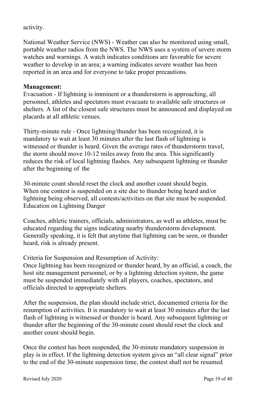#### activity.

National Weather Service (NWS) - Weather can also be monitored using small, portable weather radios from the NWS. The NWS uses a system of severe storm watches and warnings. A watch indicates conditions are favorable for severe weather to develop in an area; a warning indicates severe weather has been reported in an area and for everyone to take proper precautions.

#### **Management:**

Evacuation - If lightning is imminent or a thunderstorm is approaching, all personnel, athletes and spectators must evacuate to available safe structures or shelters. A list of the closest safe structures must be announced and displayed on placards at all athletic venues.

Thirty-minute rule - Once lightning/thunder has been recognized, it is mandatory to wait at least 30 minutes after the last flash of lightning is witnessed or thunder is heard. Given the average rates of thunderstorm travel, the storm should move 10-12 miles away from the area. This significantly reduces the risk of local lightning flashes. Any subsequent lightning or thunder after the beginning of the

30-minute count should reset the clock and another count should begin. When one contest is suspended on a site due to thunder being heard and/or lightning being observed, all contests/activities on that site must be suspended. Education on Lightning Danger

Coaches, athletic trainers, officials, administrators, as well as athletes, must be educated regarding the signs indicating nearby thunderstorm development. Generally speaking, it is felt that anytime that lightning can be seen, or thunder heard, risk is already present.

Criteria for Suspension and Resumption of Activity:

Once lightning has been recognized or thunder heard, by an official, a coach, the host site management personnel, or by a lightning detection system, the game must be suspended immediately with all players, coaches, spectators, and officials directed to appropriate shelters.

After the suspension, the plan should include strict, documented criteria for the resumption of activities. It is mandatory to wait at least 30 minutes after the last flash of lightning is witnessed or thunder is heard. Any subsequent lightning or thunder after the beginning of the 30-minute count should reset the clock and another count should begin.

Once the contest has been suspended, the 30-minute mandatory suspension in play is in effect. If the lightning detection system gives an "all clear signal" prior to the end of the 30-minute suspension time, the contest shall not be resumed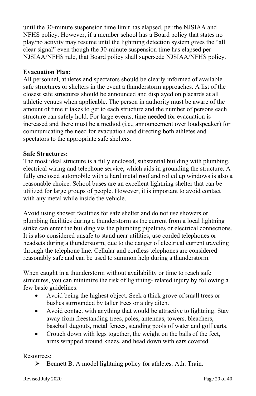until the 30-minute suspension time limit has elapsed, per the NJSIAA and NFHS policy. However, if a member school has a Board policy that states no play/no activity may resume until the lightning detection system gives the "all clear signal" even though the 30-minute suspension time has elapsed per NJSIAA/NFHS rule, that Board policy shall supersede NJSIAA/NFHS policy.

#### **Evacuation Plan:**

All personnel, athletes and spectators should be clearly informed of available safe structures or shelters in the event a thunderstorm approaches. A list of the closest safe structures should be announced and displayed on placards at all athletic venues when applicable. The person in authority must be aware of the amount of time it takes to get to each structure and the number of persons each structure can safely hold. For large events, time needed for evacuation is increased and there must be a method (i.e., announcement over loudspeaker) for communicating the need for evacuation and directing both athletes and spectators to the appropriate safe shelters.

#### **Safe Structures:**

The most ideal structure is a fully enclosed, substantial building with plumbing, electrical wiring and telephone service, which aids in grounding the structure. A fully enclosed automobile with a hard metal roof and rolled up windows is also a reasonable choice. School buses are an excellent lightning shelter that can be utilized for large groups of people. However, it is important to avoid contact with any metal while inside the vehicle.

Avoid using shower facilities for safe shelter and do not use showers or plumbing facilities during a thunderstorm as the current from a local lightning strike can enter the building via the plumbing pipelines or electrical connections. It is also considered unsafe to stand near utilities, use corded telephones or headsets during a thunderstorm, due to the danger of electrical current traveling through the telephone line. Cellular and cordless telephones are considered reasonably safe and can be used to summon help during a thunderstorm.

When caught in a thunderstorm without availability or time to reach safe structures, you can minimize the risk of lightning- related injury by following a few basic guidelines:

- Avoid being the highest object. Seek a thick grove of small trees or bushes surrounded by taller trees or a dry ditch.
- Avoid contact with anything that would be attractive to lightning. Stay away from freestanding trees, poles, antennas, towers, bleachers, baseball dugouts, metal fences, standing pools of water and golf carts.
- Crouch down with legs together, the weight on the balls of the feet, arms wrapped around knees, and head down with ears covered.

#### Resources:

 $\triangleright$  Bennett B. A model lightning policy for athletes. Ath. Train.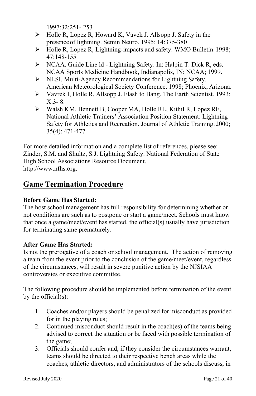1997;32:251- 253

- $\triangleright$  Holle R, Lopez R, Howard K, Vavek J. Allsopp J. Safety in the presenceof lightning. Semin Neuro. 1995; 14:375-380
- $\triangleright$  Holle R, Lopez R, Lightning-impacts and safety. WMO Bulletin. 1998; 47:148-155
- NCAA. Guide Line ld Lightning Safety. In: Halpin T. Dick R, eds. NCAA Sports Medicine Handbook, Indianapolis, IN: NCAA; 1999.
- NLSI. Multi-Agency Recommendations for Lightning Safety. American Meteorological Society Conference. 1998; Phoenix, Arizona.
- Vavrek I, Holle R, Allsopp J. Flash to Bang. The Earth Scientist. 1993; X:3- 8.
- Walsh KM, Bennett B, Cooper MA, Holle RL, Kithil R, Lopez RE, National Athletic Trainers' Association Position Statement: Lightning Safety for Athletics and Recreation. Journal of Athletic Training.2000; 35(4): 471-477.

For more detailed information and a complete list of references, please see: Zinder, S.M. and Shultz, S.J. Lightning Safety. National Federation of State High School Associations Resource Document. [http://www.nfhs.org.](http://www.nfhs.org/)

# **Game Termination Procedure**

## **Before Game Has Started:**

The host school management has full responsibility for determining whether or not conditions are such as to postpone or start a game/meet. Schools must know that once a game/meet/event has started, the official(s) usually have jurisdiction for terminating same prematurely.

## **After Game Has Started:**

Is not the prerogative of a coach or school management. The action of removing a team from the event prior to the conclusion of the game/meet/event, regardless of the circumstances, will result in severe punitive action by the NJSIAA controversies or executive committee.

The following procedure should be implemented before termination of the event by the official(s):

- 1. Coaches and/or players should be penalized for misconduct as provided for in the playing rules;
- 2. Continued misconduct should result in the coach(es) of the teams being advised to correct the situation or be faced with possible termination of the game;
- 3. Officials should confer and, if they consider the circumstances warrant, teams should be directed to their respective bench areas while the coaches, athletic directors, and administrators of the schools discuss, in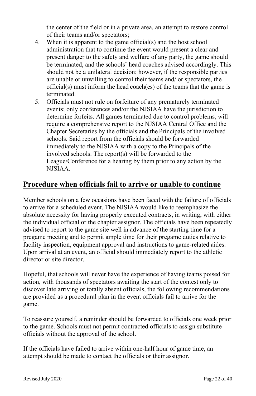the center of the field or in a private area, an attempt to restore control of their teams and/or spectators;

- 4. When it is apparent to the game official(s) and the host school administration that to continue the event would present a clear and present danger to the safety and welfare of any party, the game should be terminated, and the schools' head coaches advised accordingly. This should not be a unilateral decision; however, if the responsible parties are unable or unwilling to control their teams and/ or spectators, the official(s) must inform the head coach(es) of the teams that the game is terminated.
- 5. Officials must not rule on forfeiture of any prematurely terminated events; only conferences and/or the NJSIAA have the jurisdiction to determine forfeits. All games terminated due to control problems, will require a comprehensive report to the NJSIAA Central Office and the Chapter Secretaries by the officials and the Principals of the involved schools. Said report from the officials should be forwarded immediately to the NJSIAA with a copy to the Principals of the involved schools. The report(s) will be forwarded to the League/Conference for a hearing by them prior to any action by the NJSIAA.

## **Procedure when officials fail to arrive or unable to continue**

Member schools on a few occasions have been faced with the failure of officials to arrive for a scheduled event. The NJSIAA would like to reemphasize the absolute necessity for having properly executed contracts, in writing, with either the individual official or the chapter assignor. The officials have been repeatedly advised to report to the game site well in advance of the starting time for a pregame meeting and to permit ample time for their pregame duties relative to facility inspection, equipment approval and instructions to game-related aides. Upon arrival at an event, an official should immediately report to the athletic director or site director.

Hopeful, that schools will never have the experience of having teams poised for action, with thousands of spectators awaiting the start of the contest only to discover late arriving or totally absent officials, the following recommendations are provided as a procedural plan in the event officials fail to arrive for the game.

To reassure yourself, a reminder should be forwarded to officials one week prior to the game. Schools must not permit contracted officials to assign substitute officials without the approval of the school.

If the officials have failed to arrive within one-half hour of game time, an attempt should be made to contact the officials or their assignor.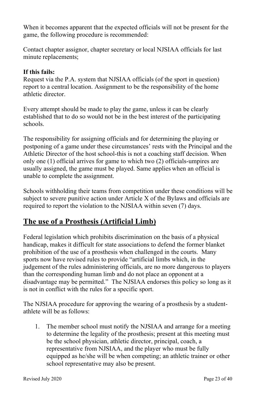When it becomes apparent that the expected officials will not be present for the game, the following procedure is recommended:

Contact chapter assignor, chapter secretary or local NJSIAA officials for last minute replacements;

## **If this fails:**

Request via the P.A. system that NJSIAA officials (of the sport in question) report to a central location. Assignment to be the responsibility of the home athletic director.

Every attempt should be made to play the game, unless it can be clearly established that to do so would not be in the best interest of the participating schools.

The responsibility for assigning officials and for determining the playing or postponing of a game under these circumstances' rests with the Principal and the Athletic Director of the host school-this is not a coaching staff decision. When only one (1) official arrives for game to which two (2) officials-umpires are usually assigned, the game must be played. Same applies when an official is unable to complete the assignment.

Schools withholding their teams from competition under these conditions will be subject to severe punitive action under Article X of the Bylaws and officials are required to report the violation to the NJSIAA within seven (7) days.

# **The use of a Prosthesis (Artificial Limb)**

Federal legislation which prohibits discrimination on the basis of a physical handicap, makes it difficult for state associations to defend the former blanket prohibition of the use of a prosthesis when challenged in the courts. Many sports now have revised rules to provide "artificial limbs which, in the judgement of the rules administering officials, are no more dangerous to players than the corresponding human limb and do not place an opponent at a disadvantage may be permitted." The NJSIAA endorses this policy so long as it is not in conflict with the rules for a specific sport.

The NJSIAA procedure for approving the wearing of a prosthesis by a studentathlete will be as follows:

1. The member school must notify the NJSIAA and arrange for a meeting to determine the legality of the prosthesis; present at this meeting must be the school physician, athletic director, principal, coach, a representative from NJSIAA, and the player who must be fully equipped as he/she will be when competing; an athletic trainer or other school representative may also be present.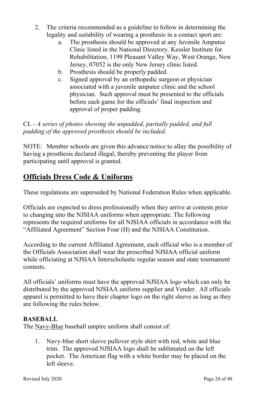- 2. The criteria recommended as a guideline to follow in determining the legality and suitability of wearing a prosthesis in a contact sport are:
	- a. The prosthesis should be approved at any Juvenile Amputee Clinic listed in the National Directory. Kessler Institute for Rehabilitation, 1199 Pleasant Valley Way, West Orange, New Jersey, 07052 is the only New Jersey clinic listed.
	- b. Prosthesis should be properly padded.
	- c. Signed approval by an orthopedic surgeon or physician associated with a juvenile amputee clinic and the school physician. Such approval must be presented to the officials before each game for the officials' final inspection and approval of proper padding.

CL - *A series of photos showing the unpadded, partially padded, and full padding of the approved prosthesis should be included.*

NOTE: Member schools are given this advance notice to allay the possibility of having a prosthesis declared illegal, thereby preventing the player from participating until approval is granted.

# **Officials Dress Code & Uniforms**

These regulations are superseded by National Federation Rules when applicable.

Officials are expected to dress professionally when they arrive at contests prior to changing into the NJSIAA uniforms when appropriate. The following represents the required uniforms for all NJSIAA officials in accordance with the "Affiliated Agreement" Section Four (H) and the NJSIAA Constitution.

According to the current Affiliated Agreement, each official who is a member of the Officials Association shall wear the prescribed NJSIAA official uniform while officiating at NJSIAA Interscholastic regular season and state tournament contests.

All officials' uniforms must have the approved NJSIAA logo which can only be distributed by the approved NJSIAA uniform supplier and Vender. All officials apparel is permitted to have their chapter logo on the right sleeve as long as they are following the rules below.

#### **BASEBALL**

The Navy-Blue baseball umpire uniform shall consist of:

1. Navy-blue short sleeve pullover style shirt with red, white and blue trim. The approved NJSIAA logo shall be sublimated on the left pocket. The American flag with a white border may be placed on the left sleeve.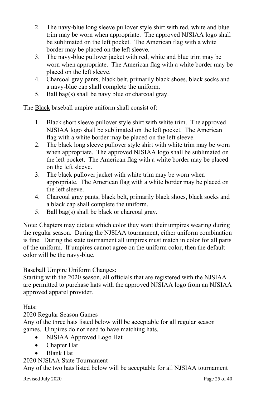- 2. The navy-blue long sleeve pullover style shirt with red, white and blue trim may be worn when appropriate. The approved NJSIAA logo shall be sublimated on the left pocket. The American flag with a white border may be placed on the left sleeve.
- 3. The navy-blue pullover jacket with red, white and blue trim may be worn when appropriate. The American flag with a white border may be placed on the left sleeve.
- 4. Charcoal gray pants, black belt, primarily black shoes, black socks and a navy-blue cap shall complete the uniform.
- 5. Ball bag(s) shall be navy blue or charcoal gray.

The Black baseball umpire uniform shall consist of:

- 1. Black short sleeve pullover style shirt with white trim. The approved NJSIAA logo shall be sublimated on the left pocket. The American flag with a white border may be placed on the left sleeve.
- 2. The black long sleeve pullover style shirt with white trim may be worn when appropriate. The approved NJSIAA logo shall be sublimated on the left pocket. The American flag with a white border may be placed on the left sleeve.
- 3. The black pullover jacket with white trim may be worn when appropriate. The American flag with a white border may be placed on the left sleeve.
- 4. Charcoal gray pants, black belt, primarily black shoes, black socks and a black cap shall complete the uniform.
- 5. Ball bag(s) shall be black or charcoal gray.

Note: Chapters may dictate which color they want their umpires wearing during the regular season. During the NJSIAA tournament, either uniform combination is fine. During the state tournament all umpires must match in color for all parts of the uniform. If umpires cannot agree on the uniform color, then the default color will be the navy-blue.

## Baseball Umpire Uniform Changes:

Starting with the 2020 season, all officials that are registered with the NJSIAA are permitted to purchase hats with the approved NJSIAA logo from an NJSIAA approved apparel provider.

## Hats:

## 2020 Regular Season Games

Any of the three hats listed below will be acceptable for all regular season games. Umpires do not need to have matching hats.

- NJSIAA Approved Logo Hat
- Chapter Hat
- Blank Hat

#### 2020 NJSIAA State Tournament

Any of the two hats listed below will be acceptable for all NJSIAA tournament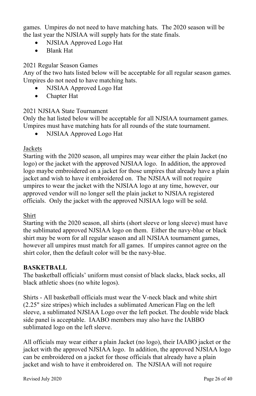games. Umpires do not need to have matching hats. The 2020 season will be the last year the NJSIAA will supply hats for the state finals.

- NJSIAA Approved Logo Hat
- Blank Hat

## 2021 Regular Season Games

Any of the two hats listed below will be acceptable for all regular season games. Umpires do not need to have matching hats.

- NJSIAA Approved Logo Hat
- Chapter Hat

## 2021 NJSIAA State Tournament

Only the hat listed below will be acceptable for all NJSIAA tournament games. Umpires must have matching hats for all rounds of the state tournament.

• NJSIAA Approved Logo Hat

## Jackets

Starting with the 2020 season, all umpires may wear either the plain Jacket (no logo) or the jacket with the approved NJSIAA logo. In addition, the approved logo maybe embroidered on a jacket for those umpires that already have a plain jacket and wish to have it embroidered on. The NJSIAA will not require umpires to wear the jacket with the NJSIAA logo at any time, however, our approved vendor will no longer sell the plain jacket to NJSIAA registered officials. Only the jacket with the approved NJSIAA logo will be sold.

## Shirt

Starting with the 2020 season, all shirts (short sleeve or long sleeve) must have the sublimated approved NJSIAA logo on them. Either the navy-blue or black shirt may be worn for all regular season and all NJSIAA tournament games, however all umpires must match for all games. If umpires cannot agree on the shirt color, then the default color will be the navy-blue.

#### **BASKETBALL**

The basketball officials' uniform must consist of black slacks, black socks, all black athletic shoes (no white logos).

Shirts - All basketball officials must wear the V-neck black and white shirt (2.25" size stripes) which includes a sublimated American Flag on the left sleeve, a sublimated NJSIAA Logo over the left pocket. The double wide black side panel is acceptable. IAABO members may also have the IABBO sublimated logo on the left sleeve.

All officials may wear either a plain Jacket (no logo), their IAABO jacket or the jacket with the approved NJSIAA logo. In addition, the approved NJSIAA logo can be embroidered on a jacket for those officials that already have a plain jacket and wish to have it embroidered on. The NJSIAA will not require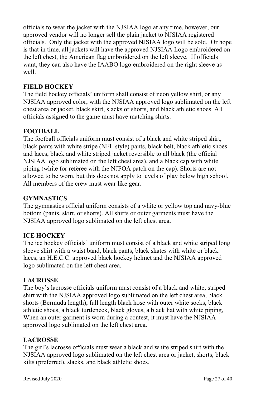officials to wear the jacket with the NJSIAA logo at any time, however, our approved vendor will no longer sell the plain jacket to NJSIAA registered officials. Only the jacket with the approved NJSIAA logo will be sold. Or hope is that in time, all jackets will have the approved NJSIAA Logo embroidered on the left chest, the American flag embroidered on the left sleeve. If officials want, they can also have the IAABO logo embroidered on the right sleeve as well.

#### **FIELD HOCKEY**

The field hockey officials' uniform shall consist of neon yellow shirt, or any NJSIAA approved color, with the NJSIAA approved logo sublimated on the left chest area or jacket, black skirt, slacks or shorts, and black athletic shoes. All officials assigned to the game must have matching shirts.

#### **FOOTBALL**

The football officials uniform must consist of a black and white striped shirt, black pants with white stripe (NFL style) pants, black belt, black athletic shoes and laces, black and white striped jacket reversible to all black (the official NJSIAA logo sublimated on the left chest area), and a black cap with white piping (white for referee with the NJFOA patch on the cap). Shorts are not allowed to be worn, but this does not apply to levels of play below high school. All members of the crew must wear like gear.

#### **GYMNASTICS**

The gymnastics official uniform consists of a white or yellow top and navy-blue bottom (pants, skirt, or shorts). All shirts or outer garments must have the NJSIAA approved logo sublimated on the left chest area.

#### **ICE HOCKEY**

The ice hockey officials' uniform must consist of a black and white striped long sleeve shirt with a waist band, black pants, black skates with white or black laces, an H.E.C.C. approved black hockey helmet and the NJSIAA approved logo sublimated on the left chest area.

#### **LACROSSE**

The boy's lacrosse officials uniform must consist of a black and white, striped shirt with the NJSIAA approved logo sublimated on the left chest area, black shorts (Bermuda length), full length black hose with outer white socks, black athletic shoes, a black turtleneck, black gloves, a black hat with white piping, When an outer garment is worn during a contest, it must have the NJSIAA approved logo sublimated on the left chest area.

#### **LACROSSE**

The girl's lacrosse officials must wear a black and white striped shirt with the NJSIAA approved logo sublimated on the left chest area or jacket, shorts, black kilts (preferred), slacks, and black athletic shoes.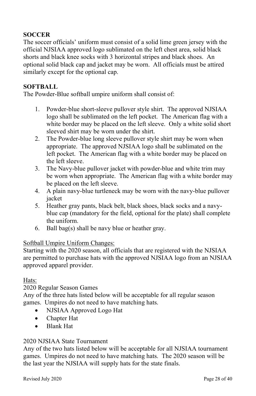## **SOCCER**

The soccer officials' uniform must consist of a solid lime green jersey with the official NJSIAA approved logo sublimated on the left chest area, solid black shorts and black knee socks with 3 horizontal stripes and black shoes. An optional solid black cap and jacket may be worn. All officials must be attired similarly except for the optional cap.

#### **SOFTBALL**

The Powder-Blue softball umpire uniform shall consist of:

- 1. Powder-blue short-sleeve pullover style shirt. The approved NJSIAA logo shall be sublimated on the left pocket. The American flag with a white border may be placed on the left sleeve. Only a white solid short sleeved shirt may be worn under the shirt.
- 2. The Powder-blue long sleeve pullover style shirt may be worn when appropriate. The approved NJSIAA logo shall be sublimated on the left pocket. The American flag with a white border may be placed on the left sleeve.
- 3. The Navy-blue pullover jacket with powder-blue and white trim may be worn when appropriate. The American flag with a white border may be placed on the left sleeve.
- 4. A plain navy-blue turtleneck may be worn with the navy-blue pullover jacket
- 5. Heather gray pants, black belt, black shoes, black socks and a navyblue cap (mandatory for the field, optional for the plate) shall complete the uniform.
- 6. Ball bag(s) shall be navy blue or heather gray.

#### Softball Umpire Uniform Changes:

Starting with the 2020 season, all officials that are registered with the NJSIAA are permitted to purchase hats with the approved NJSIAA logo from an NJSIAA approved apparel provider.

#### Hats:

2020 Regular Season Games

Any of the three hats listed below will be acceptable for all regular season games. Umpires do not need to have matching hats.

- NJSIAA Approved Logo Hat
- Chapter Hat
- Blank Hat

#### 2020 NJSIAA State Tournament

Any of the two hats listed below will be acceptable for all NJSIAA tournament games. Umpires do not need to have matching hats. The 2020 season will be the last year the NJSIAA will supply hats for the state finals.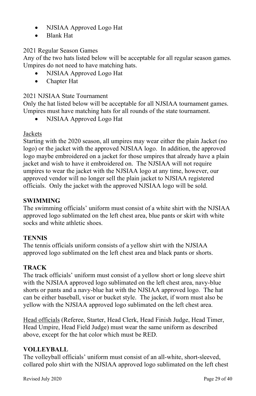- NJSIAA Approved Logo Hat
- Blank Hat

## 2021 Regular Season Games

Any of the two hats listed below will be acceptable for all regular season games. Umpires do not need to have matching hats.

- NJSIAA Approved Logo Hat
- Chapter Hat

## 2021 NJSIAA State Tournament

Only the hat listed below will be acceptable for all NJSIAA tournament games. Umpires must have matching hats for all rounds of the state tournament.

• NJSIAA Approved Logo Hat

## Jackets

Starting with the 2020 season, all umpires may wear either the plain Jacket (no logo) or the jacket with the approved NJSIAA logo. In addition, the approved logo maybe embroidered on a jacket for those umpires that already have a plain jacket and wish to have it embroidered on. The NJSIAA will not require umpires to wear the jacket with the NJSIAA logo at any time, however, our approved vendor will no longer sell the plain jacket to NJSIAA registered officials. Only the jacket with the approved NJSIAA logo will be sold.

## **SWIMMING**

The swimming officials' uniform must consist of a white shirt with the NJSIAA approved logo sublimated on the left chest area, blue pants or skirt with white socks and white athletic shoes.

## **TENNIS**

The tennis officials uniform consists of a yellow shirt with the NJSIAA approved logo sublimated on the left chest area and black pants or shorts.

## **TRACK**

The track officials' uniform must consist of a yellow short or long sleeve shirt with the NJSIAA approved logo sublimated on the left chest area, navy-blue shorts or pants and a navy-blue hat with the NJSIAA approved logo. The hat can be either baseball, visor or bucket style. The jacket, if worn must also be yellow with the NJSIAA approved logo sublimated on the left chest area.

Head officials (Referee, Starter, Head Clerk, Head Finish Judge, Head Timer, Head Umpire, Head Field Judge) must wear the same uniform as described above, except for the hat color which must be RED.

## **VOLLEYBALL**

The volleyball officials' uniform must consist of an all-white, short-sleeved, collared polo shirt with the NJSIAA approved logo sublimated on the left chest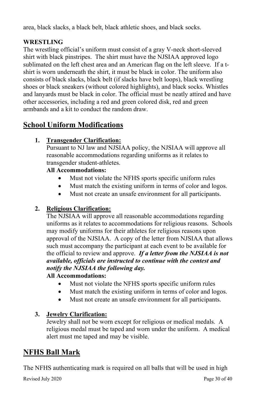area, black slacks, a black belt, black athletic shoes, and black socks.

## **WRESTLING**

The wrestling official's uniform must consist of a gray V-neck short-sleeved shirt with black pinstripes. The shirt must have the NJSIAA approved logo sublimated on the left chest area and an American flag on the left sleeve. If a tshirt is worn underneath the shirt, it must be black in color. The uniform also consists of black slacks, black belt (if slacks have belt loops), black wrestling shoes or black sneakers (without colored highlights), and black socks. Whistles and lanyards must be black in color. The official must be neatly attired and have other accessories, including a red and green colored disk, red and green armbands and a kit to conduct the random draw.

# **School Uniform Modifications**

## **1. Transgender Clarification:**

Pursuant to NJ law and NJSIAA policy, the NJSIAA will approve all reasonable accommodations regarding uniforms as it relates to transgender student-athletes.

## **All Accommodations:**

- Must not violate the NFHS sports specific uniform rules
- Must match the existing uniform in terms of color and logos.
- Must not create an unsafe environment for all participants.

## **2. Religious Clarification:**

The NJSIAA will approve all reasonable accommodations regarding uniforms as it relates to accommodations for religious reasons. Schools may modify uniforms for their athletes for religious reasons upon approval of the NJSIAA. A copy of the letter from NJSIAA that allows such must accompany the participant at each event to be available for the official to review and approve. *If a letter from the NJSIAA is not available, officials are instructed to continue with the contest and notify the NJSIAA the following day.* 

## **All Accommodations:**

- Must not violate the NFHS sports specific uniform rules
- Must match the existing uniform in terms of color and logos.
- Must not create an unsafe environment for all participants.

## **3. Jewelry Clarification:**

Jewelry shall not be worn except for religious or medical medals. A religious medal must be taped and worn under the uniform. A medical alert must me taped and may be visible.

# **NFHS Ball Mark**

The NFHS authenticating mark is required on all balls that will be used in high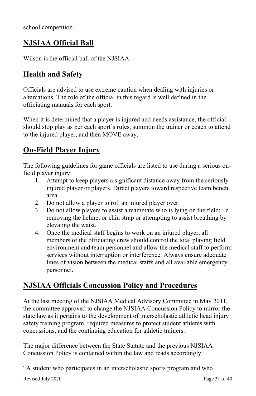school competition.

# **NJSIAA Official Ball**

Wilson is the official ball of the NJSIAA.

# **Health and Safety**

Officials are advised to use extreme caution when dealing with injuries or altercations. The role of the official in this regard is well defined in the officiating manuals for each sport.

When it is determined that a player is injured and needs assistance, the official should stop play as per each sport's rules, summon the trainer or coach to attend to the injured player, and then MOVE away.

# **On-Field Player Injury**

The following guidelines for game officials are listed to use during a serious onfield player injury:

- 1. Attempt to keep players a significant distance away from the seriously injured player or players. Direct players toward respective team bench area.
- 2. Do not allow a player to roll an injured player over.
- 3. Do not allow players to assist a teammate who is lying on the field; i.e. removing the helmet or chin strap or attempting to assist breathing by elevating the waist.
- 4. Once the medical staff begins to work on an injured player, all members of the officiating crew should control the total playing field environment and team personnel and allow the medical staff to perform services without interruption or interference. Always ensure adequate lines of vision between the medical staffs and all available emergency personnel.

# **NJSIAA Officials Concussion Policy and Procedures**

At the last meeting of the NJSIAA Medical Advisory Committee in May 2011, the committee approved to change the NJSIAA Concussion Policy to mirror the state law as it pertains to the development of interscholastic athletic head injury safety training program, required measures to protect student athletes with concussions, and the continuing education for athletic trainers.

The major difference between the State Statute and the previous NJSIAA Concussion Policy is contained within the law and reads accordingly:

"A student who participates in an interscholastic sports program and who

Revised July 2020 Page 31 of 40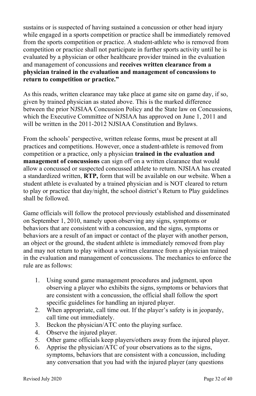sustains or is suspected of having sustained a concussion or other head injury while engaged in a sports competition or practice shall be immediately removed from the sports competition or practice. A student-athlete who is removed from competition or practice shall not participate in further sports activity until he is evaluated by a physician or other healthcare provider trained in the evaluation and management of concussions and **receives written clearance from a physician trained in the evaluation and management of concussions to return to competition or practice."**

As this reads, written clearance may take place at game site on game day, if so, given by trained physician as stated above. This is the marked difference between the prior NJSIAA Concussion Policy and the State law on Concussions, which the Executive Committee of NJSIAA has approved on June 1, 2011 and will be written in the 2011-2012 NJSIAA Constitution and Bylaws.

From the schools' perspective, written release forms, must be present at all practices and competitions. However, once a student-athlete is removed from competition or a practice, only a physician **trained in the evaluation and management of concussions** can sign off on a written clearance that would allow a concussed or suspected concussed athlete to return. NJSIAA has created a standardized written, **RTP,** form that will be available on our website. When a student athlete is evaluated by a trained physician and is NOT cleared to return to play or practice that day/night, the school district's Return to Play guidelines shall be followed.

Game officials will follow the protocol previously established and disseminated on September 1, 2010, namely upon observing any signs, symptoms or behaviors that are consistent with a concussion, and the signs, symptoms or behaviors are a result of an impact or contact of the player with another person, an object or the ground, the student athlete is immediately removed from play and may not return to play without a written clearance from a physician trained in the evaluation and management of concussions. The mechanics to enforce the rule are as follows:

- 1. Using sound game management procedures and judgment, upon observing a player who exhibits the signs, symptoms or behaviors that are consistent with a concussion, the official shall follow the sport specific guidelines for handling an injured player.
- 2. When appropriate, call time out. If the player's safety is in jeopardy, call time out immediately.
- 3. Beckon the physician/ATC onto the playing surface.
- 4. Observe the injured player.
- 5. Other game officials keep players/others away from the injured player.
- 6. Apprise the physician/ATC of your observations as to the signs, symptoms, behaviors that are consistent with a concussion, including any conversation that you had with the injured player (any questions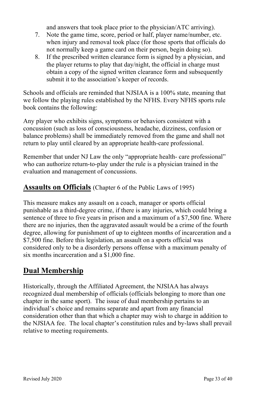and answers that took place prior to the physician/ATC arriving).

- 7. Note the game time, score, period or half, player name/number, etc. when injury and removal took place (for those sports that officials do not normally keep a game card on their person, begin doing so).
- 8. If the prescribed written clearance form is signed by a physician, and the player returns to play that day/night, the official in charge must obtain a copy of the signed written clearance form and subsequently submit it to the association's keeper of records.

Schools and officials are reminded that NJSIAA is a 100% state, meaning that we follow the playing rules established by the NFHS. Every NFHS sports rule book contains the following:

Any player who exhibits signs, symptoms or behaviors consistent with a concussion (such as loss of consciousness, headache, dizziness, confusion or balance problems) shall be immediately removed from the game and shall not return to play until cleared by an appropriate health-care professional.

Remember that under NJ Law the only "appropriate health- care professional" who can authorize return-to-play under the rule is a physician trained in the evaluation and management of concussions.

## **Assaults on Officials** (Chapter 6 of the Public Laws of 1995)

This measure makes any assault on a coach, manager or sports official punishable as a third-degree crime, if there is any injuries, which could bring a sentence of three to five years in prison and a maximum of a \$7,500 fine. Where there are no injuries, then the aggravated assault would be a crime of the fourth degree, allowing for punishment of up to eighteen months of incarceration and a \$7,500 fine. Before this legislation, an assault on a sports official was considered only to be a disorderly persons offense with a maximum penalty of six months incarceration and a \$1,000 fine.

# **Dual Membership**

Historically, through the Affiliated Agreement, the NJSIAA has always recognized dual membership of officials (officials belonging to more than one chapter in the same sport). The issue of dual membership pertains to an individual's choice and remains separate and apart from any financial consideration other than that which a chapter may wish to charge in addition to the NJSIAA fee. The local chapter's constitution rules and by-laws shall prevail relative to meeting requirements.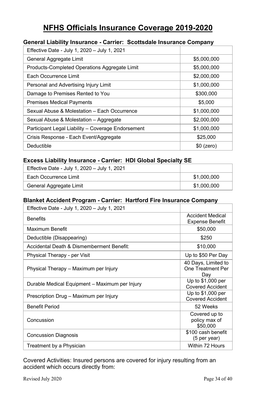# **NFHS Officials Insurance Coverage 2019-2020**

#### **General Liability Insurance - Carrier: Scottsdale Insurance Company**

| Effective Date - July 1, 2020 - July 1, 2021       |             |
|----------------------------------------------------|-------------|
| General Aggregate Limit                            | \$5,000,000 |
| Products-Completed Operations Aggregate Limit      | \$5,000,000 |
| Each Occurrence Limit                              | \$2,000,000 |
| Personal and Advertising Injury Limit              | \$1,000,000 |
| Damage to Premises Rented to You                   | \$300,000   |
| <b>Premises Medical Payments</b>                   | \$5,000     |
| Sexual Abuse & Molestation - Each Occurrence       | \$1,000,000 |
| Sexual Abuse & Molestation - Aggregate             | \$2,000,000 |
| Participant Legal Liability - Coverage Endorsement | \$1,000,000 |
| Crisis Response - Each Event/Aggregate             | \$25,000    |
| Deductible                                         | $$0$ (zero) |

#### **Excess Liability Insurance - Carrier: HDI Global Specialty SE**

| Effective Date - July 1, 2020 - July 1, 2021 |             |
|----------------------------------------------|-------------|
| Each Occurrence Limit                        | \$1,000,000 |
| General Aggregate Limit                      | \$1,000,000 |

## **Blanket Accident Program - Carrier: Hartford Fire Insurance Company**

| Effective Date - July 1, 2020 - July 1, 2021   |                                                   |
|------------------------------------------------|---------------------------------------------------|
| <b>Benefits</b>                                | <b>Accident Medical</b><br><b>Expense Benefit</b> |
| Maximum Benefit                                | \$50,000                                          |
| Deductible (Disappearing)                      | \$250                                             |
| Accidental Death & Dismemberment Benefit:      | \$10,000                                          |
| Physical Therapy - per Visit                   | Up to \$50 Per Day                                |
| Physical Therapy – Maximum per Injury          | 40 Days, Limited to<br>One Treatment Per<br>Day   |
| Durable Medical Equipment - Maximum per Injury | Up to \$1,000 per<br><b>Covered Accident</b>      |
| Prescription Drug - Maximum per Injury         | Up to $$1,000$ per<br><b>Covered Accident</b>     |
| <b>Benefit Period</b>                          | 52 Weeks                                          |
| Concussion                                     | Covered up to<br>policy max of<br>\$50,000        |
| <b>Concussion Diagnosis</b>                    | \$100 cash benefit<br>(5 per year)                |
| Treatment by a Physician                       | Within 72 Hours                                   |

Covered Activities: Insured persons are covered for injury resulting from an accident which occurs directly from: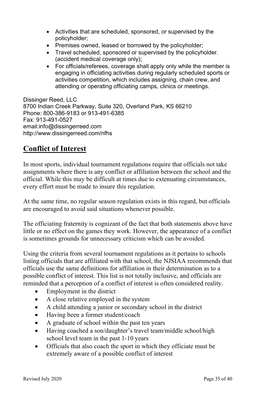- Activities that are scheduled, sponsored, or supervised by the policyholder;
- Premises owned, leased or borrowed by the policyholder;
- Travel scheduled, sponsored or supervised by the policyholder. (accident medical coverage only);
- For officials/referees, coverage shall apply only while the member is engaging in officiating activities during regularly scheduled sports or activities competition, which includes assigning, chain crew, and attending or operating officiating camps, clinics or meetings.

Dissinger Reed, LLC 8700 Indian Creek Parkway, Suite 320, Overland Park, KS 66210 Phone: 800-386-9183 or 913-491-6385 Fax: 913-491-0527 email[:info@dissingerreed.com](mailto:info@dissingerreed.com) <http://www.dissingerreed.com/nfhs>

# **Conflict of Interest**

In most sports, individual tournament regulations require that officials not take assignments where there is any conflict or affiliation between the school and the official. While this may be difficult at times due to extenuating circumstances, every effort must be made to insure this regulation.

At the same time, no regular season regulation exists in this regard, but officials are encouraged to avoid said situations whenever possible.

The officiating fraternity is cognizant of the fact that both statements above have little or no effect on the games they work. However, the appearance of a conflict is sometimes grounds for unnecessary criticism which can be avoided.

Using the criteria from several tournament regulations as it pertains to schools listing officials that are affiliated with that school, the NJSIAA recommends that officials use the same definitions for affiliation in their determination as to a possible conflict of interest. This list is not totally inclusive, and officials are reminded that a perception of a conflict of interest is often considered reality.

- Employment in the district
- A close relative employed in the system
- A child attending a junior or secondary school in the district
- Having been a former student/coach
- A graduate of school within the past ten years
- Having coached a son/daughter's travel team/middle school/high school level team in the past 1-10 years
- Officials that also coach the sport in which they officiate must be extremely aware of a possible conflict of interest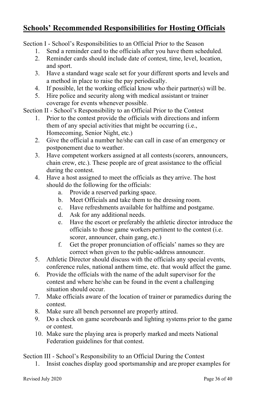# **Schools' Recommended Responsibilities for Hosting Officials**

Section I - School's Responsibilities to an Official Prior to the Season

- 1. Send a reminder card to the officials after you have them scheduled.
- 2. Reminder cards should include date of contest, time, level, location, and sport.
- 3. Have a standard wage scale set for your different sports and levels and a method in place to raise the pay periodically.
- 4. If possible, let the working official know who their partner(s) will be.
- 5. Hire police and security along with medical assistant or trainer coverage for events whenever possible.

Section II - School's Responsibility to an Official Prior to the Contest

- 1. Prior to the contest provide the officials with directions and inform them of any special activities that might be occurring (i.e., Homecoming, Senior Night, etc.)
- 2. Give the official a number he/she can call in case of an emergency or postponement due to weather.
- 3. Have competent workers assigned at all contests(scorers, announcers, chain crew, etc.). These people are of great assistance to the official during the contest.
- 4. Have a host assigned to meet the officials as they arrive. The host should do the following for the officials:
	- a. Provide a reserved parking space.
	- b. Meet Officials and take them to the dressing room.
	- c. Have refreshments available for halftime and postgame.
	- d. Ask for any additional needs.
	- e. Have the escort or preferably the athletic director introduce the officials to those game workers pertinent to the contest (i.e. scorer, announcer, chain gang, etc.)
	- f. Get the proper pronunciation of officials' names so they are correct when given to the public-address announcer.
- 5. Athletic Director should discuss with the officials any special events, conference rules, national anthem time, etc. that would affect the game.
- 6. Provide the officials with the name of the adult supervisor for the contest and where he/she can be found in the event a challenging situation should occur.
- 7. Make officials aware of the location of trainer or paramedics during the contest.
- 8. Make sure all bench personnel are properly attired.
- 9. Do a check on game scoreboards and lighting systems prior to the game or contest.
- 10. Make sure the playing area is properly marked and meets National Federation guidelines for that contest.

Section III - School's Responsibility to an Official During the Contest

1. Insist coaches display good sportsmanship and are proper examples for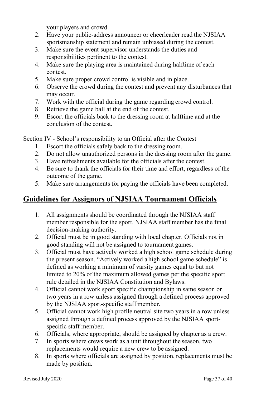your players and crowd.

- 2. Have your public-address announcer or cheerleader read the NJSIAA sportsmanship statement and remain unbiased during the contest.
- 3. Make sure the event supervisor understands the duties and responsibilities pertinent to the contest.
- 4. Make sure the playing area is maintained during halftime of each contest.
- 5. Make sure proper crowd control is visible and in place.
- 6. Observe the crowd during the contest and prevent any disturbances that may occur.
- 7. Work with the official during the game regarding crowd control.
- 8. Retrieve the game ball at the end of the contest.
- 9. Escort the officials back to the dressing room at halftime and at the conclusion of the contest.

Section IV - School's responsibility to an Official after the Contest

- 1. Escort the officials safely back to the dressing room.
- 2. Do not allow unauthorized persons in the dressing room after the game.
- 3. Have refreshments available for the officials after the contest.
- 4. Be sure to thank the officials for their time and effort, regardless of the outcome of the game.
- 5. Make sure arrangements for paying the officials have been completed.

# **Guidelines for Assignors of NJSIAA Tournament Officials**

- 1. All assignments should be coordinated through the NJSIAA staff member responsible for the sport. NJSIAA staff member has the final decision-making authority.
- 2. Official must be in good standing with local chapter. Officials not in good standing will not be assigned to tournament games.
- 3. Official must have actively worked a high school game schedule during the present season. "Actively worked a high school game schedule" is defined as working a minimum of varsity games equal to but not limited to 20% of the maximum allowed games per the specific sport rule detailed in the NJSIAA Constitution and Bylaws.
- 4. Official cannot work sport specific championship in same season or two years in a row unless assigned through a defined process approved by the NJSIAA sport-specific staff member.
- 5. Official cannot work high profile neutral site two years in a row unless assigned through a defined process approved by the NJSIAA sportspecific staff member.
- 6. Officials, where appropriate, should be assigned by chapter as a crew.
- 7. In sports where crews work as a unit throughout the season, two replacements would require a new crew to be assigned.
- 8. In sports where officials are assigned by position, replacements must be made by position.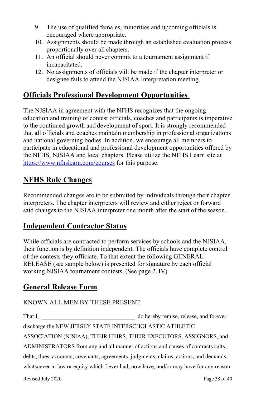- 9. The use of qualified females, minorities and upcoming officials is encouraged where appropriate.
- 10. Assignments should be made through an established evaluation process proportionally over all chapters.
- 11. An official should never commit to a tournament assignment if incapacitated.
- 12. No assignments of officials will be made if the chapter interpreter or designee fails to attend the NJSIAA Interpretation meeting.

# **Officials Professional Development Opportunities**

The NJSIAA in agreement with the NFHS recognizes that the ongoing education and training of contest officials, coaches and participants is imperative to the continued growth and development of sport. It is strongly recommended that all officials and coaches maintain membership in professional organizations and national governing bodies. In addition, we encourage all members to participate in educational and professional development opportunities offered by the NFHS, NJSIAA and local chapters. Please utilize the NFHS Learn site at <https://www.nfhslearn.com/courses> for this purpose.

# **NFHS Rule Changes**

Recommended changes are to be submitted by individuals through their chapter interpreters. The chapter interpreters will review and either reject or forward said changes to the NJSIAA interpreter one month after the start of the season.

## **Independent Contractor Status**

While officials are contracted to perform services by schools and the NJSIAA, their function is by definition independent. The officials have complete control of the contests they officiate. To that extent the following GENERAL RELEASE (see sample below) is presented for signature by each official working NJSIAA tournament contests. (See page 2. IV)

## **General Release Form**

## KNOWN ALL MEN BY THESE PRESENT:

That I, \_\_\_\_\_\_\_\_\_\_\_\_\_\_\_\_\_\_\_\_\_\_\_\_\_\_\_\_\_\_\_\_ do hereby remise, release, and forever discharge the NEW JERSEY STATE INTERSCHOLASTIC ATHLETIC ASSOCIATION (NJSIAA), THEIR HEIRS, THEIR EXECUTORS, ASSIGNORS, and ADMINISTRATORS from any and all manner of actions and causes of contracts suits, debts, dues, accounts, covenants, agreements, judgments, claims, actions, and demands whatsoever in law or equity which I ever had, now have, and/or may have for any reason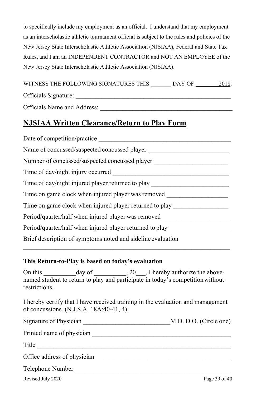to specifically include my employment as an official. I understand that my employment as an interscholastic athletic tournament official is subject to the rules and policies of the New Jersey State Interscholastic Athletic Association (NJSIAA), Federal and State Tax Rules, and I am an INDEPENDENT CONTRACTOR and NOT AN EMPLOYEE of the New Jersey State Interscholastic Athletic Association (NJSIAA).

|                      | WITNESS THE FOLLOWING SIGNATURES THIS | DAY OF | 2018. |
|----------------------|---------------------------------------|--------|-------|
| Officials Signature: |                                       |        |       |

Officials Name and Address:

# **NJSIAA Written Clearance/Return to Play Form**

| Date of competition/practice                                |  |  |
|-------------------------------------------------------------|--|--|
| Name of concussed/suspected concussed player                |  |  |
| Number of concussed/suspected concussed player              |  |  |
| Time of day/night injury occurred                           |  |  |
| Time of day/night injured player returned to play           |  |  |
| Time on game clock when injured player was removed          |  |  |
| Time on game clock when injured player returned to play     |  |  |
| Period/quarter/half when injured player was removed         |  |  |
| Period/quarter/half when injured player returned to play    |  |  |
| Brief description of symptoms noted and sideline evaluation |  |  |

#### **This Return-to-Play is based on today's evaluation**

On this day of 20 , I hereby authorize the abovenamed student to return to play and participate in today's competitionwithout restrictions.

I hereby certify that I have received training in the evaluation and management of concussions. (N.J.S.A. 18A:40-41, 4)

| Signature of Physician      | M.D. D.O. (Circle one) |
|-----------------------------|------------------------|
| Printed name of physician   |                        |
| Title                       |                        |
| Office address of physician |                        |
| Telephone Number            |                        |

Revised July 2020 Page 39 of 40